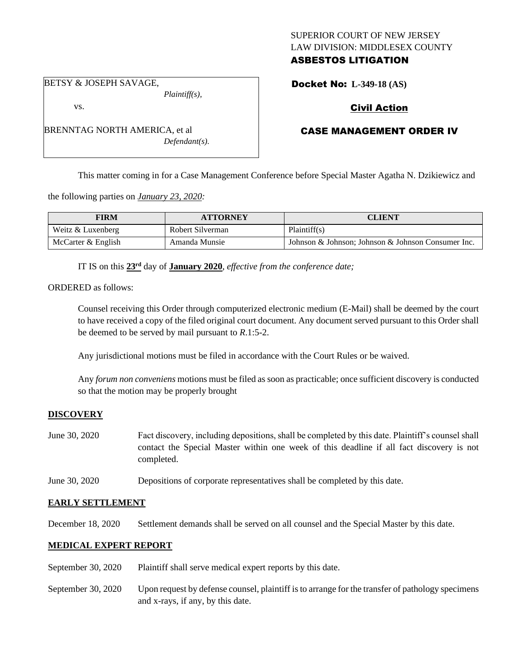# SUPERIOR COURT OF NEW JERSEY LAW DIVISION: MIDDLESEX COUNTY ASBESTOS LITIGATION

BETSY & JOSEPH SAVAGE,

BRENNTAG NORTH AMERICA, et al

vs.

*Plaintiff(s),*

*Defendant(s).*

# Civil Action

Docket No: **L-349-18 (AS)** 

# CASE MANAGEMENT ORDER IV

This matter coming in for a Case Management Conference before Special Master Agatha N. Dzikiewicz and

the following parties on *January 23, 2020:*

| FIRM                 | <b>ATTORNEY</b>  | CLIENT                                             |
|----------------------|------------------|----------------------------------------------------|
| Weitz & Luxenberg    | Robert Silverman | Plaintiff(s)                                       |
| McCarter $&$ English | Amanda Munsie    | Johnson & Johnson: Johnson & Johnson Consumer Inc. |

IT IS on this **23rd** day of **January 2020**, *effective from the conference date;*

ORDERED as follows:

Counsel receiving this Order through computerized electronic medium (E-Mail) shall be deemed by the court to have received a copy of the filed original court document. Any document served pursuant to this Order shall be deemed to be served by mail pursuant to *R*.1:5-2.

Any jurisdictional motions must be filed in accordance with the Court Rules or be waived.

Any *forum non conveniens* motions must be filed as soon as practicable; once sufficient discovery is conducted so that the motion may be properly brought

#### **DISCOVERY**

- June 30, 2020 Fact discovery, including depositions, shall be completed by this date. Plaintiff's counsel shall contact the Special Master within one week of this deadline if all fact discovery is not completed.
- June 30, 2020 Depositions of corporate representatives shall be completed by this date.

## **EARLY SETTLEMENT**

December 18, 2020 Settlement demands shall be served on all counsel and the Special Master by this date.

## **MEDICAL EXPERT REPORT**

- September 30, 2020 Plaintiff shall serve medical expert reports by this date.
- September 30, 2020 Upon request by defense counsel, plaintiff is to arrange for the transfer of pathology specimens and x-rays, if any, by this date.